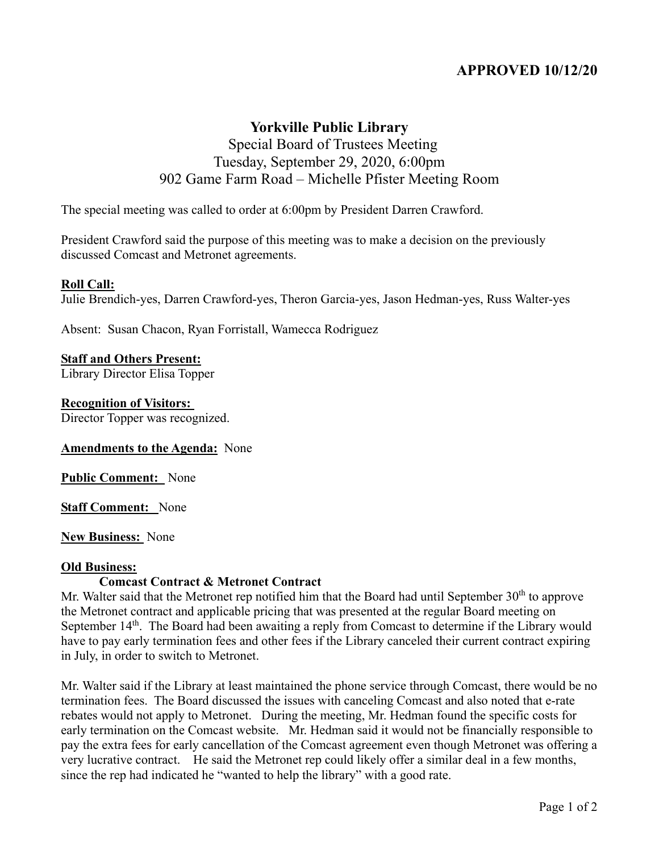# **APPROVED 10/12/20**

# **Yorkville Public Library**

## Special Board of Trustees Meeting Tuesday, September 29, 2020, 6:00pm 902 Game Farm Road – Michelle Pfister Meeting Room

The special meeting was called to order at 6:00pm by President Darren Crawford.

President Crawford said the purpose of this meeting was to make a decision on the previously discussed Comcast and Metronet agreements.

## **Roll Call:**

Julie Brendich-yes, Darren Crawford-yes, Theron Garcia-yes, Jason Hedman-yes, Russ Walter-yes

Absent: Susan Chacon, Ryan Forristall, Wamecca Rodriguez

## **Staff and Others Present:**

Library Director Elisa Topper

## **Recognition of Visitors:**

Director Topper was recognized.

#### **Amendments to the Agenda:** None

**Public Comment:** None

**Staff Comment:** None

#### **New Business:** None

## **Old Business:**

## **Comcast Contract & Metronet Contract**

Mr. Walter said that the Metronet rep notified him that the Board had until September 30<sup>th</sup> to approve the Metronet contract and applicable pricing that was presented at the regular Board meeting on September  $14<sup>th</sup>$ . The Board had been awaiting a reply from Comcast to determine if the Library would have to pay early termination fees and other fees if the Library canceled their current contract expiring in July, in order to switch to Metronet.

Mr. Walter said if the Library at least maintained the phone service through Comcast, there would be no termination fees. The Board discussed the issues with canceling Comcast and also noted that e-rate rebates would not apply to Metronet. During the meeting, Mr. Hedman found the specific costs for early termination on the Comcast website. Mr. Hedman said it would not be financially responsible to pay the extra fees for early cancellation of the Comcast agreement even though Metronet was offering a very lucrative contract. He said the Metronet rep could likely offer a similar deal in a few months, since the rep had indicated he "wanted to help the library" with a good rate.